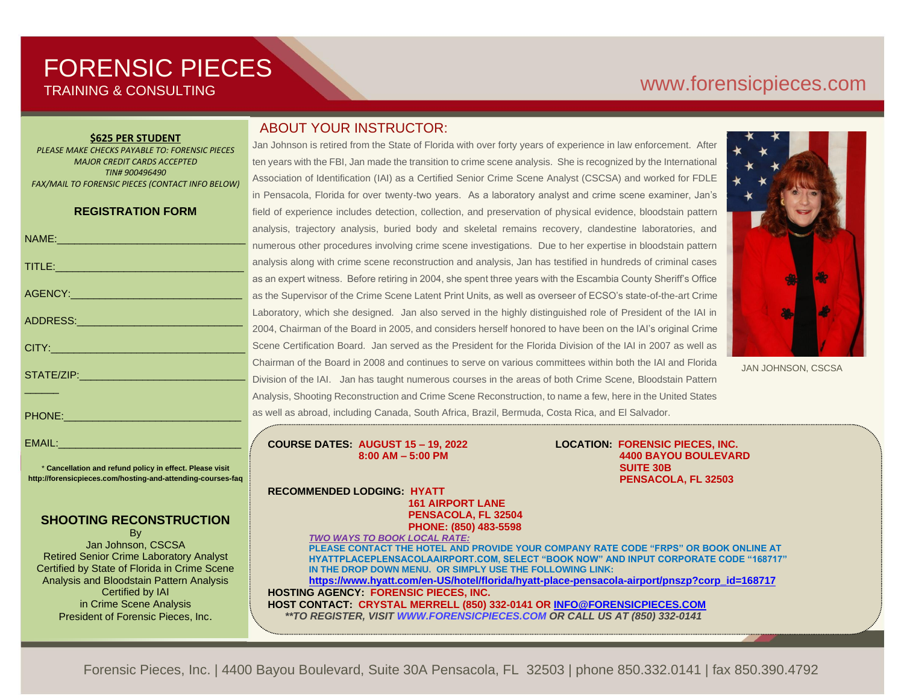# FORENSIC PIECES TRAINING & CONSULTING

# [www.forensicp](http://www.forensic/)ieces.com

#### **\$625 PER STUDENT**

*PLEASE MAKE CHECKS PAYABLE TO: FORENSIC PIECES MAJOR CREDIT CARDS ACCEPTED TIN# 900496490 FAX/MAIL TO FORENSIC PIECES (CONTACT INFO BELOW)*

#### **REGISTRATION FORM**

|                                                                                                                | a              |
|----------------------------------------------------------------------------------------------------------------|----------------|
| NAME: 2008 - 2009 - 2009 - 2010 - 2010 - 2011 - 2012 - 2012 - 2014 - 2014 - 2014 - 2014 - 2014 - 2014 - 2014 - | $\mathsf{n}$   |
| TITLE: And a series of the series of the series of the series of the series of the series of the series of the | a              |
|                                                                                                                | a              |
|                                                                                                                | a              |
| ADDRESS: ADDRESS:                                                                                              | L              |
|                                                                                                                | $\overline{2}$ |
|                                                                                                                | S              |
|                                                                                                                | C              |
|                                                                                                                | D              |
|                                                                                                                | $\overline{A}$ |
| PHONE: 2000 2000 2010 2010 2010 2010 2011                                                                      | a:             |
|                                                                                                                |                |

\* **Cancellation and refund policy in effect. Please visit http://forensicpieces.com/hosting-and-attending-courses-faq**

EMAIL:

#### **SHOOTING RECONSTRUCTION**

**B**<sub>v</sub> Jan Johnson, CSCSA Retired Senior Crime Laboratory Analyst Certified by State of Florida in Crime Scene Analysis and Bloodstain Pattern Analysis Certified by IAI in Crime Scene Analysis President of Forensic Pieces, Inc.

## ABOUT YOUR INSTRUCTOR:

Jan Johnson is retired from the State of Florida with over forty years of experience in law enforcement. After ten years with the FBI, Jan made the transition to crime scene analysis. She is recognized by the International Association of Identification (IAI) as a Certified Senior Crime Scene Analyst (CSCSA) and worked for FDLE in Pensacola, Florida for over twenty-two years. As a laboratory analyst and crime scene examiner, Jan's field of experience includes detection, collection, and preservation of physical evidence, bloodstain pattern nalysis, trajectory analysis, buried body and skeletal remains recovery, clandestine laboratories, and umerous other procedures involving crime scene investigations. Due to her expertise in bloodstain pattern nalysis along with crime scene reconstruction and analysis, Jan has testified in hundreds of criminal cases s an expert witness. Before retiring in 2004, she spent three years with the Escambia County Sheriff's Office s the Supervisor of the Crime Scene Latent Print Units, as well as overseer of ECSO's state-of-the-art Crime aboratory, which she designed. Jan also served in the highly distinguished role of President of the IAI in 2004, Chairman of the Board in 2005, and considers herself honored to have been on the IAI's original Crime Icene Certification Board. Jan served as the President for the Florida Division of the IAI in 2007 as well as Chairman of the Board in 2008 and continues to serve on various committees within both the IAI and Florida livision of the IAI. Jan has taught numerous courses in the areas of both Crime Scene, Bloodstain Pattern halysis, Shooting Reconstruction and Crime Scene Reconstruction, to name a few, here in the United States s well as abroad, including Canada, South Africa, Brazil, Bermuda, Costa Rica, and El Salvador.



JAN JOHNSON, CSCSA

**COURSE DATES: AUGUST 15 – 19, 2022 LOCATION: FORENSIC PIECES, INC.**

 **8:00 AM – 5:00 PM 4400 BAYOU BOULEVARD SUITE 30B PENSACOLA, FL 32503**

**RECOMMENDED LODGING: HYATT 161 AIRPORT LANE PENSACOLA, FL 32504**

> **PHONE: (850) 483-5598** *TWO WAYS TO BOOK LOCAL RATE:*

**PLEASE CONTACT THE HOTEL AND PROVIDE YOUR COMPANY RATE CODE "FRPS" OR BOOK ONLINE AT HYATTPLACEPLENSACOLAAIRPORT.COM, SELECT "BOOK NOW" AND INPUT CORPORATE CODE "168717" IN THE DROP DOWN MENU. OR SIMPLY USE THE FOLLOWING LINK: [https://www.hyatt.com/en-US/hotel/florida/hyatt-place-pensacola-airport/pnszp?corp\\_id=168717](https://www.hyatt.com/en-US/hotel/florida/hyatt-place-pensacola-airport/pnszp?corp_id=168717) HOSTING AGENCY: FORENSIC PIECES, INC. HOST CONTACT: CRYSTAL MERRELL (850) 332-0141 OR [INFO@FORENSICPIECES.COM](mailto:INFO@FORENSICPIECES.COM)**

 *\*\*TO REGISTER, VISI[T WWW.FORENSICPIECES.COM](http://www.forensicpieces.com/) OR CALL US AT (850) 332-0141 \*\*TO REGISTER, VISI[T WWW.FORENSICPIECES.COM](http://www.forensicpieces.com/) OR CALL US AT (850) 332-0141*